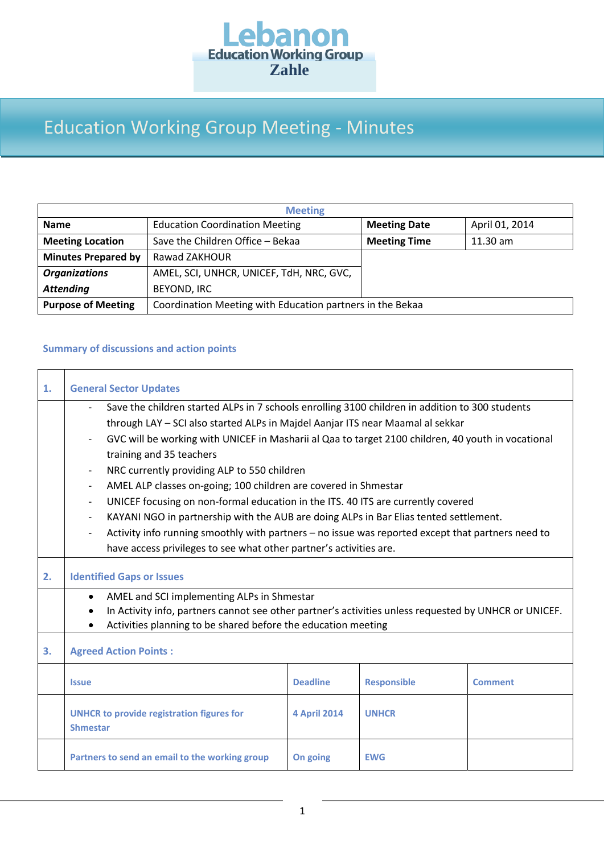

## Education Working Group Meeting - Minutes

| <b>Meeting</b>             |                                                           |                     |                |  |  |  |  |
|----------------------------|-----------------------------------------------------------|---------------------|----------------|--|--|--|--|
| <b>Name</b>                | <b>Education Coordination Meeting</b>                     | <b>Meeting Date</b> | April 01, 2014 |  |  |  |  |
| <b>Meeting Location</b>    | Save the Children Office - Bekaa                          | <b>Meeting Time</b> | $11.30$ am     |  |  |  |  |
| <b>Minutes Prepared by</b> | Rawad ZAKHOUR                                             |                     |                |  |  |  |  |
| <b>Organizations</b>       | AMEL, SCI, UNHCR, UNICEF, TdH, NRC, GVC,                  |                     |                |  |  |  |  |
| <b>Attending</b>           | <b>BEYOND, IRC</b>                                        |                     |                |  |  |  |  |
| <b>Purpose of Meeting</b>  | Coordination Meeting with Education partners in the Bekaa |                     |                |  |  |  |  |

## **Summary of discussions and action points**

| 1. | <b>General Sector Updates</b>                                                                                                                                                                                                                                                                                                                                                                                                                                                                                                                                                                                                                                                                                                                                                                                                                                                                                 |                     |                    |                |  |  |
|----|---------------------------------------------------------------------------------------------------------------------------------------------------------------------------------------------------------------------------------------------------------------------------------------------------------------------------------------------------------------------------------------------------------------------------------------------------------------------------------------------------------------------------------------------------------------------------------------------------------------------------------------------------------------------------------------------------------------------------------------------------------------------------------------------------------------------------------------------------------------------------------------------------------------|---------------------|--------------------|----------------|--|--|
|    | Save the children started ALPs in 7 schools enrolling 3100 children in addition to 300 students<br>through LAY - SCI also started ALPs in Majdel Aanjar ITS near Maamal al sekkar<br>GVC will be working with UNICEF in Masharii al Qaa to target 2100 children, 40 youth in vocational<br>$\overline{\phantom{a}}$<br>training and 35 teachers<br>NRC currently providing ALP to 550 children<br>$\overline{\phantom{a}}$<br>AMEL ALP classes on-going; 100 children are covered in Shmestar<br>$\overline{\phantom{a}}$<br>UNICEF focusing on non-formal education in the ITS. 40 ITS are currently covered<br>$\overline{\phantom{a}}$<br>KAYANI NGO in partnership with the AUB are doing ALPs in Bar Elias tented settlement.<br>Activity info running smoothly with partners - no issue was reported except that partners need to<br>have access privileges to see what other partner's activities are. |                     |                    |                |  |  |
| 2. | <b>Identified Gaps or Issues</b>                                                                                                                                                                                                                                                                                                                                                                                                                                                                                                                                                                                                                                                                                                                                                                                                                                                                              |                     |                    |                |  |  |
|    | AMEL and SCI implementing ALPs in Shmestar<br>$\bullet$<br>In Activity info, partners cannot see other partner's activities unless requested by UNHCR or UNICEF.<br>$\bullet$<br>Activities planning to be shared before the education meeting                                                                                                                                                                                                                                                                                                                                                                                                                                                                                                                                                                                                                                                                |                     |                    |                |  |  |
| З. | <b>Agreed Action Points:</b>                                                                                                                                                                                                                                                                                                                                                                                                                                                                                                                                                                                                                                                                                                                                                                                                                                                                                  |                     |                    |                |  |  |
|    | <b>Issue</b>                                                                                                                                                                                                                                                                                                                                                                                                                                                                                                                                                                                                                                                                                                                                                                                                                                                                                                  | <b>Deadline</b>     | <b>Responsible</b> | <b>Comment</b> |  |  |
|    | <b>UNHCR to provide registration figures for</b><br><b>Shmestar</b>                                                                                                                                                                                                                                                                                                                                                                                                                                                                                                                                                                                                                                                                                                                                                                                                                                           | <b>4 April 2014</b> | <b>UNHCR</b>       |                |  |  |
|    | Partners to send an email to the working group                                                                                                                                                                                                                                                                                                                                                                                                                                                                                                                                                                                                                                                                                                                                                                                                                                                                | On going            | <b>EWG</b>         |                |  |  |